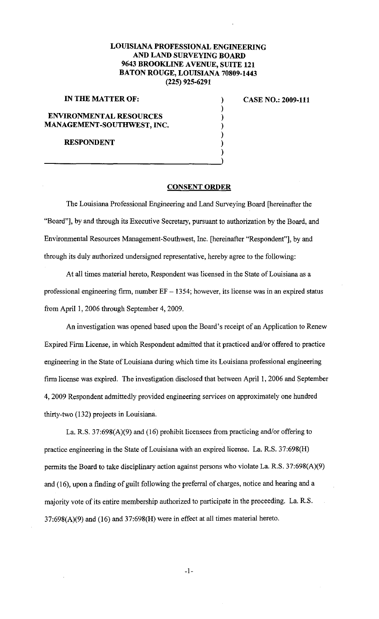## **LOUISIANA PROFESSIONAL ENGINEERING AND LAND SURVEYING BOARD 9643 BROOKLINE A VENUE, SUITE 121 BATON ROUGE, LOUISIANA 70809-1443 (225) 925-6291**

) ) ) ) ) ) )

| IN THE MATTER OF: |  |
|-------------------|--|
|-------------------|--|

**CASE NO.: 2009-111** 

**ENVIRONMENTAL RESOURCES MANAGEMENT-SOUTHWEST, INC.** 

**RESPONDENT** 

## **CONSENT ORDER**

The Louisiana Professional Engineering and Land Surveying Board [hereinafter the "Board"], by and through its Executive Secretary, pursuant to authorization by the Board, and Environmental Resources Management-Southwest, Inc. [hereinafter "Respondent"], by and through its duly authorized undersigned representative, hereby agree to the following:

At all times material hereto, Respondent was licensed in the State of Louisiana as a professional engineering firm, number  $EF - 1354$ ; however, its license was in an expired status from April 1, 2006 through September 4, 2009.

An investigation was opened based upon the Board's receipt of an Application to Renew Expired Firm License, in which Respondent admitted that it practiced and/or offered to practice engineering in the State of Louisiana during which time its Louisiana professional engineering firm license was expired. The investigation disclosed that between April I, 2006 and September 4, 2009 Respondent admittedly provided engineering services on approximately one hundred thirty-two (132) projects in Louisiana.

La. R.S. 37:698(A)(9) and (16) prohibit licensees from practicing and/or offering to practice engineering in the State of Louisiana with an expired license. La. R.S. 37:698(H) permits the Board to take disciplinary action against persons who violate La. R.S. 37:698(A)(9) and (16), upon a finding of guilt following the preferral of charges, notice and hearing and a majority vote of its entire membership authorized to participate in the proceeding. La. R.S. 37:698(A)(9) and (16) and 37:698(H) were in effect at all times material hereto.

-I-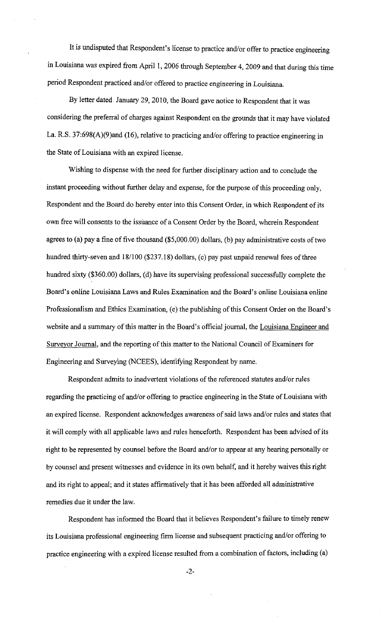It is undisputed that Respondent's license to practice and/or offer to practice engineering in Louisiana was expired from April 1, 2006 through September 4, 2009 and that during this time period Respondent practiced and/or offered to practice engineering in Louisiana.

By letter dated January 29, 2010, the Board gave notice to Respondent that it was considering the preferral of charges against Respondent on the grounds that it may have violated La. R.S. 37:698(A)(9)and (16), relative to practicing and/or offering to practice engineering in the State of Louisiana with an expired license.

Wishing to dispense with the need for further disciplinary action and to conclude the instant proceeding without further delay and expense, for the purpose of this proceeding only, Respondent and the Board do hereby enter into this Consent Order, in which Respondent of its own free will consents to the issuance of a Consent Order by the Board, wherein Respondent agrees to (a) pay a fine of five thousand  $(\$5,000.00)$  dollars, (b) pay administrative costs of two hundred thirty-seven and 18/100 (\$237.18) dollars, (c) pay past unpaid renewal fees of three hundred sixty (\$360.00) dollars, (d) have its supervising professional successfully complete the Board's online Louisiana Laws and Rules Examination and the Board's online Louisiana online Professionalism and Ethics Examination, (e) the publishing of this Consent Order on the Board's website and a summary of this matter in the Board's official journal, the Louisiana Engineer and Surveyor Journal, and the reporting of this matter to the National Council of Examiners for Engineering and Surveying (NCEES), identifying Respondent by name.

Respondent admits to inadvertent violations of the referenced statutes and/or rules regarding the practicing of and/or offering to practice engineering in the State of Louisiana with an expired license. Respondent acknowledges awareness of said laws and/or rules and states that it will comply with all applicable laws and rules henceforth. Respondent has been advised of its right to be represented by counsel before the Board and/or to appear at any hearing personally or by counsel and present witnesses and evidence in its own behalf, and it hereby waives this right and its right to appeal; and it states affirmatively that it has been afforded all administrative remedies due it under the law.

Respondent has informed the Board that it believes Respondent's failure to timely renew its Louisiana professional engineering firm license and subsequent practicing and/or offering to practice engineering with a expired license resulted from a combination of factors, including (a)

-2-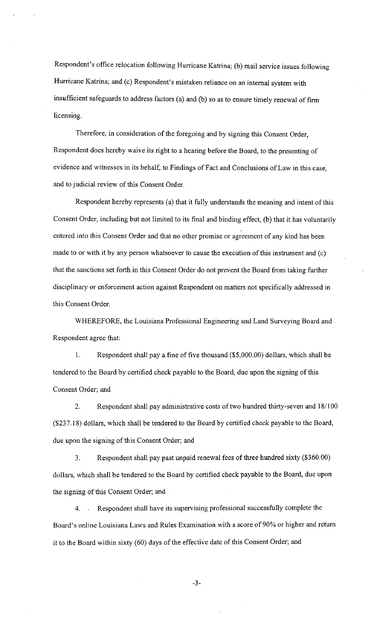Respondent's office relocation following Hurricane Katrina; (b) mail service issues following Hurricane Katrina; and (c) Respondent's mistaken reliance on an internal system with insufficient safeguards to address factors (a) and (b) so as to ensure timely renewal of firm licensing.

Therefore, in consideration of the foregoing and by signing this Consent Order, Respondent does hereby waive its right to a hearing before the Board, to the presenting of evidence and witnesses in its behalf, to Findings of Fact and Conclusions of Law in this case, and to judicial review of this Consent Order.

Respondent hereby represents (a) that it fully understands the meaning and intent of this Consent Order, including but not limited to its final and binding effect, (b) that it has voluntarily entered into this Consent Order and that no other promise or agreement of any kind has been made to or with it by any person whatsoever to cause the execution of this instrument and (c) that the sanctions set forth in this Consent Order do not prevent the Board from taking further disciplinary or enforcement action against Respondent on matters not specifically addressed in this Consent Order.

WHEREFORE, the Louisiana Professional Engineering and Land Surveying Board and . Respondent agree that:

I. Respondent shall pay a fine of five thousand (\$5,000.00) dollars, which shall be tendered to the Board by certified check payable to the Board, due upon the signing of this Consent Order; and

2. Respondent shall pay administrative costs of two hundred thirty-seven and 18/100 (\$237.18) dollars, which shall be tendered to the Board by certified check payable to the Board, due upon the signing of this Consent Order; and

3. Respondent shall pay past unpaid renewal fees of three hundred sixty (\$360.00) dollars, which shall be tendered to the Board by certified check payable to the Board, due upon the signing of this Consent Order; and

4. Respondent shall have its supervising professional successfully complete the Board's online Louisiana Laws and Rules Examination with a score of 90% or higher and return it to the Board within sixty (60) days of the effective date of this Consent Order; and

-3-